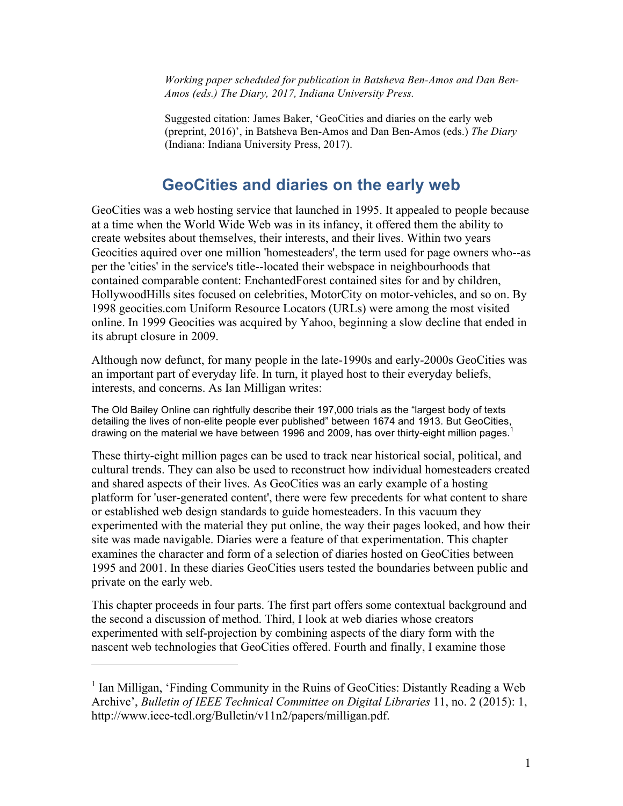*Working paper scheduled for publication in Batsheva Ben-Amos and Dan Ben-Amos (eds.) The Diary, 2017, Indiana University Press.*

Suggested citation: James Baker, 'GeoCities and diaries on the early web (preprint, 2016)', in Batsheva Ben-Amos and Dan Ben-Amos (eds.) *The Diary* (Indiana: Indiana University Press, 2017).

### **GeoCities and diaries on the early web**

GeoCities was a web hosting service that launched in 1995. It appealed to people because at a time when the World Wide Web was in its infancy, it offered them the ability to create websites about themselves, their interests, and their lives. Within two years Geocities aquired over one million 'homesteaders', the term used for page owners who--as per the 'cities' in the service's title--located their webspace in neighbourhoods that contained comparable content: EnchantedForest contained sites for and by children, HollywoodHills sites focused on celebrities, MotorCity on motor-vehicles, and so on. By 1998 geocities.com Uniform Resource Locators (URLs) were among the most visited online. In 1999 Geocities was acquired by Yahoo, beginning a slow decline that ended in its abrupt closure in 2009.

Although now defunct, for many people in the late-1990s and early-2000s GeoCities was an important part of everyday life. In turn, it played host to their everyday beliefs, interests, and concerns. As Ian Milligan writes:

The Old Bailey Online can rightfully describe their 197,000 trials as the "largest body of texts detailing the lives of non-elite people ever published" between 1674 and 1913. But GeoCities, drawing on the material we have between 1996 and 2009, has over thirty-eight million pages.<sup>1</sup>

These thirty-eight million pages can be used to track near historical social, political, and cultural trends. They can also be used to reconstruct how individual homesteaders created and shared aspects of their lives. As GeoCities was an early example of a hosting platform for 'user-generated content', there were few precedents for what content to share or established web design standards to guide homesteaders. In this vacuum they experimented with the material they put online, the way their pages looked, and how their site was made navigable. Diaries were a feature of that experimentation. This chapter examines the character and form of a selection of diaries hosted on GeoCities between 1995 and 2001. In these diaries GeoCities users tested the boundaries between public and private on the early web.

This chapter proceeds in four parts. The first part offers some contextual background and the second a discussion of method. Third, I look at web diaries whose creators experimented with self-projection by combining aspects of the diary form with the nascent web technologies that GeoCities offered. Fourth and finally, I examine those

<sup>&</sup>lt;sup>1</sup> Ian Milligan, 'Finding Community in the Ruins of GeoCities: Distantly Reading a Web Archive', *Bulletin of IEEE Technical Committee on Digital Libraries* 11, no. 2 (2015): 1, http://www.ieee-tcdl.org/Bulletin/v11n2/papers/milligan.pdf.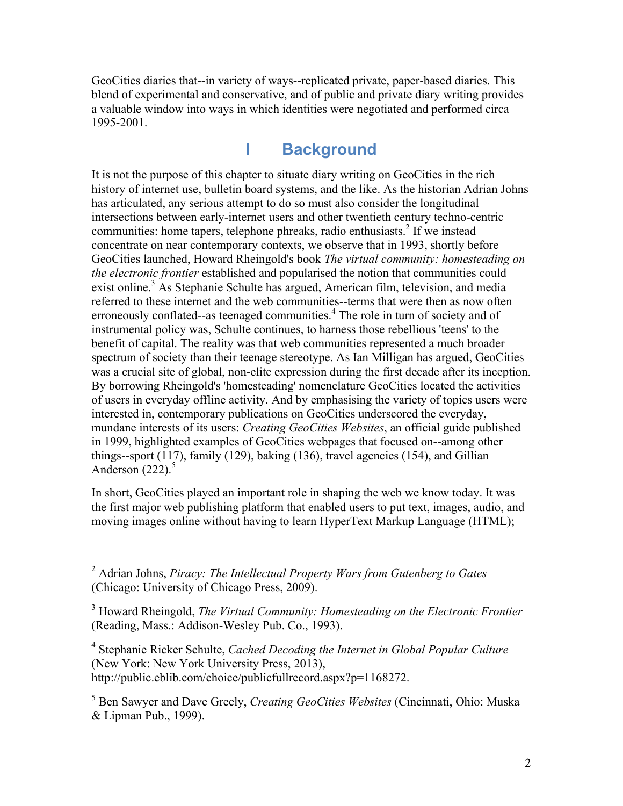GeoCities diaries that--in variety of ways--replicated private, paper-based diaries. This blend of experimental and conservative, and of public and private diary writing provides a valuable window into ways in which identities were negotiated and performed circa 1995-2001.

## **I Background**

It is not the purpose of this chapter to situate diary writing on GeoCities in the rich history of internet use, bulletin board systems, and the like. As the historian Adrian Johns has articulated, any serious attempt to do so must also consider the longitudinal intersections between early-internet users and other twentieth century techno-centric communities: home tapers, telephone phreaks, radio enthusiasts. <sup>2</sup> If we instead concentrate on near contemporary contexts, we observe that in 1993, shortly before GeoCities launched, Howard Rheingold's book *The virtual community: homesteading on the electronic frontier* established and popularised the notion that communities could exist online.<sup>3</sup> As Stephanie Schulte has argued, American film, television, and media referred to these internet and the web communities--terms that were then as now often erroneously conflated--as teenaged communities.<sup>4</sup> The role in turn of society and of instrumental policy was, Schulte continues, to harness those rebellious 'teens' to the benefit of capital. The reality was that web communities represented a much broader spectrum of society than their teenage stereotype. As Ian Milligan has argued, GeoCities was a crucial site of global, non-elite expression during the first decade after its inception. By borrowing Rheingold's 'homesteading' nomenclature GeoCities located the activities of users in everyday offline activity. And by emphasising the variety of topics users were interested in, contemporary publications on GeoCities underscored the everyday, mundane interests of its users: *Creating GeoCities Websites*, an official guide published in 1999, highlighted examples of GeoCities webpages that focused on--among other things--sport (117), family (129), baking (136), travel agencies (154), and Gillian Anderson  $(222)$ <sup>5</sup>

In short, GeoCities played an important role in shaping the web we know today. It was the first major web publishing platform that enabled users to put text, images, audio, and moving images online without having to learn HyperText Markup Language (HTML);

 $\overline{a}$ 

<sup>4</sup> Stephanie Ricker Schulte, *Cached Decoding the Internet in Global Popular Culture* (New York: New York University Press, 2013), http://public.eblib.com/choice/publicfullrecord.aspx?p=1168272.

<sup>5</sup> Ben Sawyer and Dave Greely, *Creating GeoCities Websites* (Cincinnati, Ohio: Muska & Lipman Pub., 1999).

<sup>2</sup> Adrian Johns, *Piracy: The Intellectual Property Wars from Gutenberg to Gates* (Chicago: University of Chicago Press, 2009).

<sup>3</sup> Howard Rheingold, *The Virtual Community: Homesteading on the Electronic Frontier* (Reading, Mass.: Addison-Wesley Pub. Co., 1993).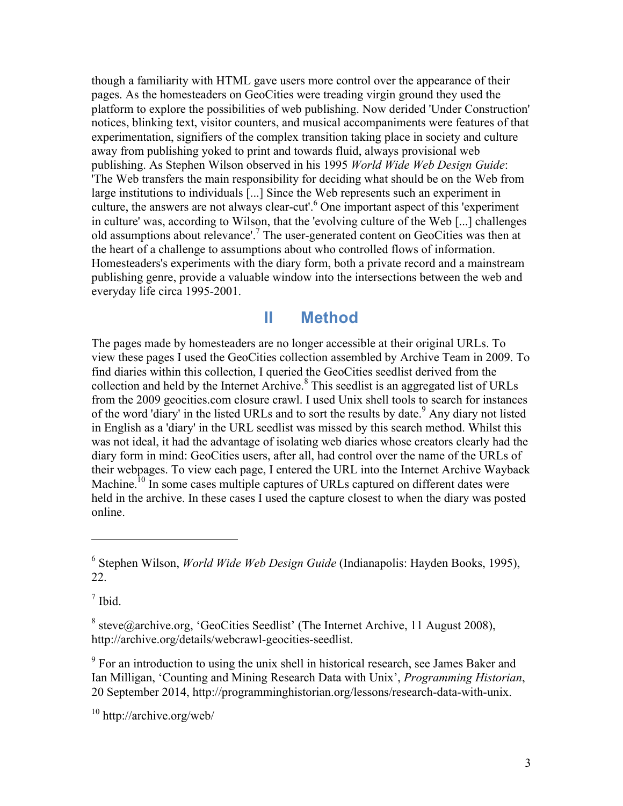though a familiarity with HTML gave users more control over the appearance of their pages. As the homesteaders on GeoCities were treading virgin ground they used the platform to explore the possibilities of web publishing. Now derided 'Under Construction' notices, blinking text, visitor counters, and musical accompaniments were features of that experimentation, signifiers of the complex transition taking place in society and culture away from publishing yoked to print and towards fluid, always provisional web publishing. As Stephen Wilson observed in his 1995 *World Wide Web Design Guide*: 'The Web transfers the main responsibility for deciding what should be on the Web from large institutions to individuals [...] Since the Web represents such an experiment in culture, the answers are not always clear-cut'. <sup>6</sup> One important aspect of this 'experiment in culture' was, according to Wilson, that the 'evolving culture of the Web [...] challenges old assumptions about relevance'.<sup>7</sup> The user-generated content on GeoCities was then at the heart of a challenge to assumptions about who controlled flows of information. Homesteaders's experiments with the diary form, both a private record and a mainstream publishing genre, provide a valuable window into the intersections between the web and everyday life circa 1995-2001.

#### **II Method**

The pages made by homesteaders are no longer accessible at their original URLs. To view these pages I used the GeoCities collection assembled by Archive Team in 2009. To find diaries within this collection, I queried the GeoCities seedlist derived from the collection and held by the Internet Archive.<sup>8</sup> This seedlist is an aggregated list of URLs from the 2009 geocities.com closure crawl. I used Unix shell tools to search for instances of the word 'diary' in the listed URLs and to sort the results by date.<sup>9</sup> Any diary not listed in English as a 'diary' in the URL seedlist was missed by this search method. Whilst this was not ideal, it had the advantage of isolating web diaries whose creators clearly had the diary form in mind: GeoCities users, after all, had control over the name of the URLs of their webpages. To view each page, I entered the URL into the Internet Archive Wayback Machine.<sup>10</sup> In some cases multiple captures of URLs captured on different dates were held in the archive. In these cases I used the capture closest to when the diary was posted online.

 $<sup>7</sup>$  Ibid.</sup>

 $\overline{a}$ 

<sup>8</sup> steve@archive.org, 'GeoCities Seedlist' (The Internet Archive, 11 August 2008), http://archive.org/details/webcrawl-geocities-seedlist.

<sup>9</sup> For an introduction to using the unix shell in historical research, see James Baker and Ian Milligan, 'Counting and Mining Research Data with Unix', *Programming Historian*, 20 September 2014, http://programminghistorian.org/lessons/research-data-with-unix.

 $10$  http://archive.org/web/

<sup>6</sup> Stephen Wilson, *World Wide Web Design Guide* (Indianapolis: Hayden Books, 1995), 22.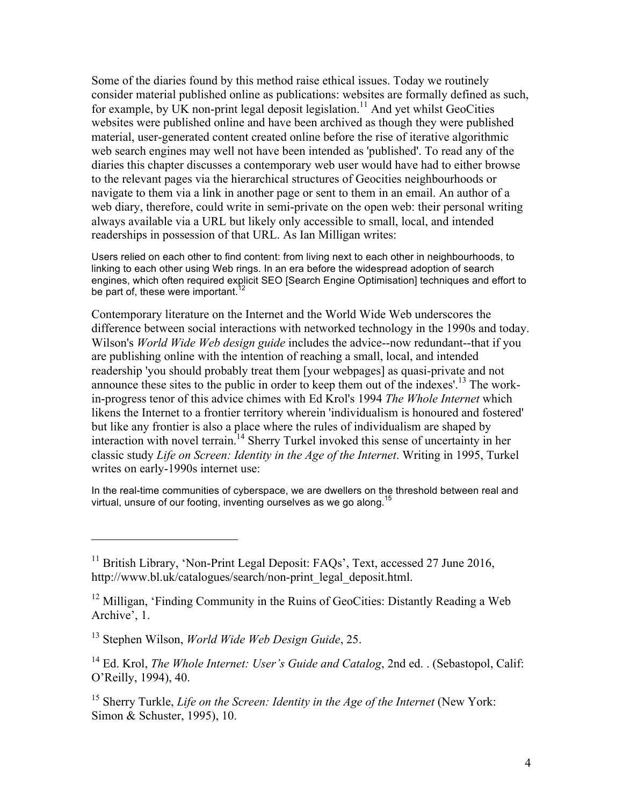Some of the diaries found by this method raise ethical issues. Today we routinely consider material published online as publications: websites are formally defined as such, for example, by UK non-print legal deposit legislation.<sup>11</sup> And yet whilst GeoCities websites were published online and have been archived as though they were published material, user-generated content created online before the rise of iterative algorithmic web search engines may well not have been intended as 'published'. To read any of the diaries this chapter discusses a contemporary web user would have had to either browse to the relevant pages via the hierarchical structures of Geocities neighbourhoods or navigate to them via a link in another page or sent to them in an email. An author of a web diary, therefore, could write in semi-private on the open web: their personal writing always available via a URL but likely only accessible to small, local, and intended readerships in possession of that URL. As Ian Milligan writes:

Users relied on each other to find content: from living next to each other in neighbourhoods, to linking to each other using Web rings. In an era before the widespread adoption of search engines, which often required explicit SEO [Search Engine Optimisation] techniques and effort to be part of, these were important.<sup>1</sup>

Contemporary literature on the Internet and the World Wide Web underscores the difference between social interactions with networked technology in the 1990s and today. Wilson's *World Wide Web design guide* includes the advice--now redundant--that if you are publishing online with the intention of reaching a small, local, and intended readership 'you should probably treat them [your webpages] as quasi-private and not announce these sites to the public in order to keep them out of the indexes'. <sup>13</sup> The workin-progress tenor of this advice chimes with Ed Krol's 1994 *The Whole Internet* which likens the Internet to a frontier territory wherein 'individualism is honoured and fostered' but like any frontier is also a place where the rules of individualism are shaped by interaction with novel terrain.<sup>14</sup> Sherry Turkel invoked this sense of uncertainty in her classic study *Life on Screen: Identity in the Age of the Internet*. Writing in 1995, Turkel writes on early-1990s internet use:

In the real-time communities of cyberspace, we are dwellers on the threshold between real and virtual, unsure of our footing, inventing ourselves as we go along.<sup>15</sup>

<sup>&</sup>lt;sup>11</sup> British Library, 'Non-Print Legal Deposit: FAQs', Text, accessed 27 June 2016, http://www.bl.uk/catalogues/search/non-print\_legal\_deposit.html.

 $12$  Milligan, 'Finding Community in the Ruins of GeoCities: Distantly Reading a Web Archive', 1.

<sup>13</sup> Stephen Wilson, *World Wide Web Design Guide*, 25.

<sup>&</sup>lt;sup>14</sup> Ed. Krol, *The Whole Internet: User's Guide and Catalog*, 2nd ed. . (Sebastopol, Calif: O'Reilly, 1994), 40.

<sup>&</sup>lt;sup>15</sup> Sherry Turkle, *Life on the Screen: Identity in the Age of the Internet* (New York: Simon & Schuster, 1995), 10.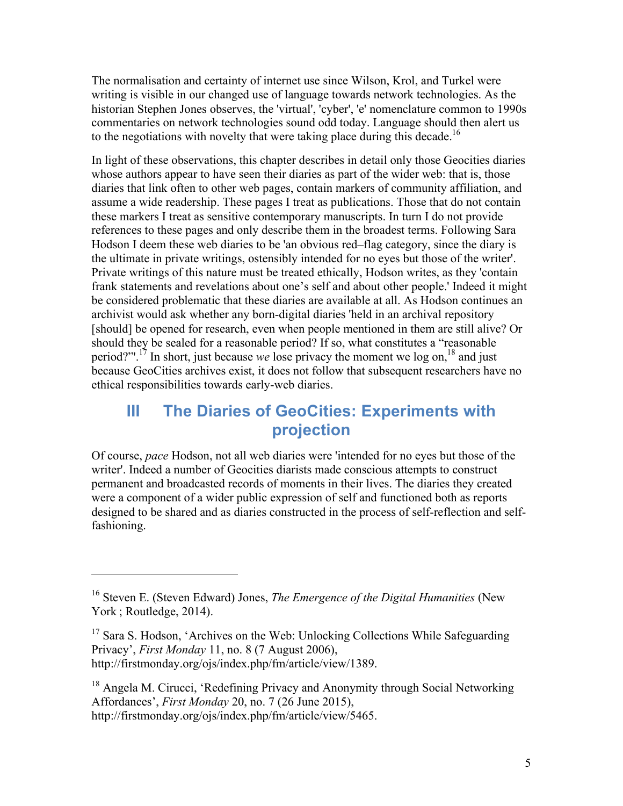The normalisation and certainty of internet use since Wilson, Krol, and Turkel were writing is visible in our changed use of language towards network technologies. As the historian Stephen Jones observes, the 'virtual', 'cyber', 'e' nomenclature common to 1990s commentaries on network technologies sound odd today. Language should then alert us to the negotiations with novelty that were taking place during this decade.<sup>16</sup>

In light of these observations, this chapter describes in detail only those Geocities diaries whose authors appear to have seen their diaries as part of the wider web: that is, those diaries that link often to other web pages, contain markers of community affiliation, and assume a wide readership. These pages I treat as publications. Those that do not contain these markers I treat as sensitive contemporary manuscripts. In turn I do not provide references to these pages and only describe them in the broadest terms. Following Sara Hodson I deem these web diaries to be 'an obvious red–flag category, since the diary is the ultimate in private writings, ostensibly intended for no eyes but those of the writer'. Private writings of this nature must be treated ethically, Hodson writes, as they 'contain frank statements and revelations about one's self and about other people.' Indeed it might be considered problematic that these diaries are available at all. As Hodson continues an archivist would ask whether any born-digital diaries 'held in an archival repository [should] be opened for research, even when people mentioned in them are still alive? Or should they be sealed for a reasonable period? If so, what constitutes a "reasonable period?"'.<sup>17</sup> In short, just because *we* lose privacy the moment we log on,18 and just because GeoCities archives exist, it does not follow that subsequent researchers have no ethical responsibilities towards early-web diaries.

# **III The Diaries of GeoCities: Experiments with projection**

Of course, *pace* Hodson, not all web diaries were 'intended for no eyes but those of the writer'. Indeed a number of Geocities diarists made conscious attempts to construct permanent and broadcasted records of moments in their lives. The diaries they created were a component of a wider public expression of self and functioned both as reports designed to be shared and as diaries constructed in the process of self-reflection and selffashioning.

<sup>16</sup> Steven E. (Steven Edward) Jones, *The Emergence of the Digital Humanities* (New York : Routledge, 2014).

<sup>&</sup>lt;sup>17</sup> Sara S. Hodson, 'Archives on the Web: Unlocking Collections While Safeguarding Privacy', *First Monday* 11, no. 8 (7 August 2006), http://firstmonday.org/ojs/index.php/fm/article/view/1389.

<sup>&</sup>lt;sup>18</sup> Angela M. Cirucci, 'Redefining Privacy and Anonymity through Social Networking Affordances', *First Monday* 20, no. 7 (26 June 2015), http://firstmonday.org/ojs/index.php/fm/article/view/5465.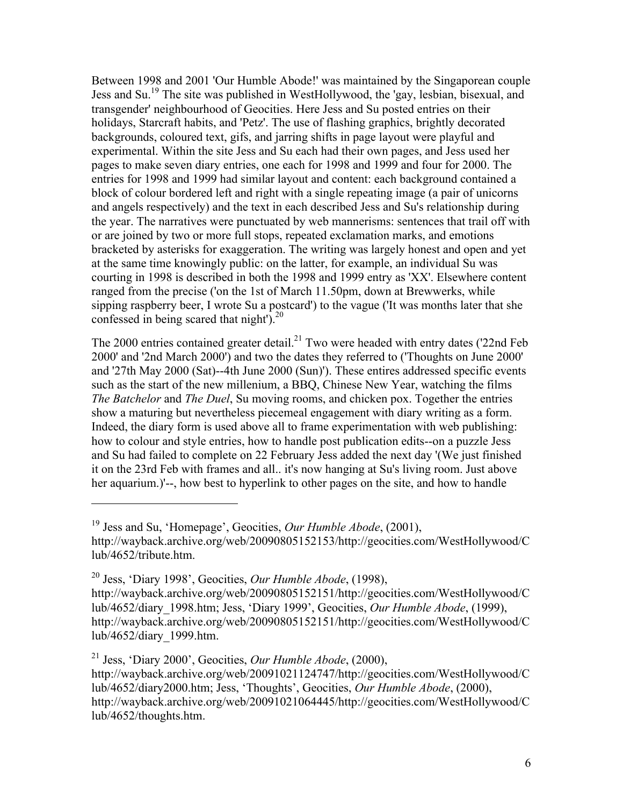Between 1998 and 2001 'Our Humble Abode!' was maintained by the Singaporean couple Jess and Su.19 The site was published in WestHollywood, the 'gay, lesbian, bisexual, and transgender' neighbourhood of Geocities. Here Jess and Su posted entries on their holidays, Starcraft habits, and 'Petz'. The use of flashing graphics, brightly decorated backgrounds, coloured text, gifs, and jarring shifts in page layout were playful and experimental. Within the site Jess and Su each had their own pages, and Jess used her pages to make seven diary entries, one each for 1998 and 1999 and four for 2000. The entries for 1998 and 1999 had similar layout and content: each background contained a block of colour bordered left and right with a single repeating image (a pair of unicorns and angels respectively) and the text in each described Jess and Su's relationship during the year. The narratives were punctuated by web mannerisms: sentences that trail off with or are joined by two or more full stops, repeated exclamation marks, and emotions bracketed by asterisks for exaggeration. The writing was largely honest and open and yet at the same time knowingly public: on the latter, for example, an individual Su was courting in 1998 is described in both the 1998 and 1999 entry as 'XX'. Elsewhere content ranged from the precise ('on the 1st of March 11.50pm, down at Brewwerks, while sipping raspberry beer, I wrote Su a postcard') to the vague ('It was months later that she confessed in being scared that night'). $^{20}$ 

The 2000 entries contained greater detail.<sup>21</sup> Two were headed with entry dates ('22nd Feb 2000' and '2nd March 2000') and two the dates they referred to ('Thoughts on June 2000' and '27th May 2000 (Sat)--4th June 2000 (Sun)'). These entires addressed specific events such as the start of the new millenium, a BBQ, Chinese New Year, watching the films *The Batchelor* and *The Duel*, Su moving rooms, and chicken pox. Together the entries show a maturing but nevertheless piecemeal engagement with diary writing as a form. Indeed, the diary form is used above all to frame experimentation with web publishing: how to colour and style entries, how to handle post publication edits--on a puzzle Jess and Su had failed to complete on 22 February Jess added the next day '(We just finished it on the 23rd Feb with frames and all.. it's now hanging at Su's living room. Just above her aquarium.)'--, how best to hyperlink to other pages on the site, and how to handle

<sup>19</sup> Jess and Su, 'Homepage', Geocities, *Our Humble Abode*, (2001), http://wayback.archive.org/web/20090805152153/http://geocities.com/WestHollywood/C lub/4652/tribute.htm.

<sup>20</sup> Jess, 'Diary 1998', Geocities, *Our Humble Abode*, (1998), http://wayback.archive.org/web/20090805152151/http://geocities.com/WestHollywood/C lub/4652/diary\_1998.htm; Jess, 'Diary 1999', Geocities, *Our Humble Abode*, (1999), http://wayback.archive.org/web/20090805152151/http://geocities.com/WestHollywood/C lub/4652/diary\_1999.htm.

<sup>21</sup> Jess, 'Diary 2000', Geocities, *Our Humble Abode*, (2000),

http://wayback.archive.org/web/20091021124747/http://geocities.com/WestHollywood/C lub/4652/diary2000.htm; Jess, 'Thoughts', Geocities, *Our Humble Abode*, (2000), http://wayback.archive.org/web/20091021064445/http://geocities.com/WestHollywood/C lub/4652/thoughts.htm.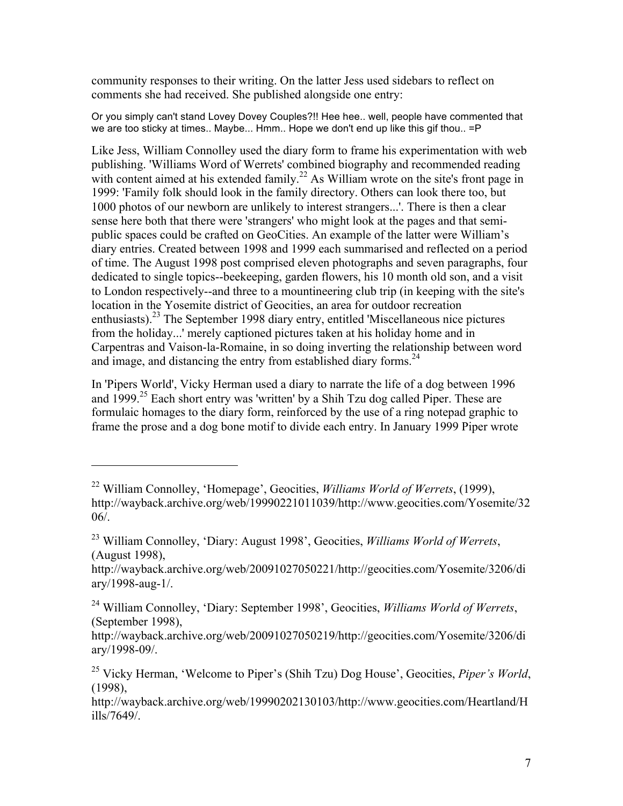community responses to their writing. On the latter Jess used sidebars to reflect on comments she had received. She published alongside one entry:

Or you simply can't stand Lovey Dovey Couples?!! Hee hee.. well, people have commented that we are too sticky at times.. Maybe... Hmm.. Hope we don't end up like this gif thou.. =P

Like Jess, William Connolley used the diary form to frame his experimentation with web publishing. 'Williams Word of Werrets' combined biography and recommended reading with content aimed at his extended family.<sup>22</sup> As William wrote on the site's front page in 1999: 'Family folk should look in the family directory. Others can look there too, but 1000 photos of our newborn are unlikely to interest strangers...'. There is then a clear sense here both that there were 'strangers' who might look at the pages and that semipublic spaces could be crafted on GeoCities. An example of the latter were William's diary entries. Created between 1998 and 1999 each summarised and reflected on a period of time. The August 1998 post comprised eleven photographs and seven paragraphs, four dedicated to single topics--beekeeping, garden flowers, his 10 month old son, and a visit to London respectively--and three to a mountineering club trip (in keeping with the site's location in the Yosemite district of Geocities, an area for outdoor recreation enthusiasts).<sup>23</sup> The September 1998 diary entry, entitled 'Miscellaneous nice pictures from the holiday...' merely captioned pictures taken at his holiday home and in Carpentras and Vaison-la-Romaine, in so doing inverting the relationship between word and image, and distancing the entry from established diary forms.<sup>24</sup>

In 'Pipers World', Vicky Herman used a diary to narrate the life of a dog between 1996 and  $1999$ <sup>25</sup> Each short entry was 'written' by a Shih Tzu dog called Piper. These are formulaic homages to the diary form, reinforced by the use of a ring notepad graphic to frame the prose and a dog bone motif to divide each entry. In January 1999 Piper wrote

<sup>22</sup> William Connolley, 'Homepage', Geocities, *Williams World of Werrets*, (1999), http://wayback.archive.org/web/19990221011039/http://www.geocities.com/Yosemite/32 06/.

<sup>23</sup> William Connolley, 'Diary: August 1998', Geocities, *Williams World of Werrets*, (August 1998),

http://wayback.archive.org/web/20091027050221/http://geocities.com/Yosemite/3206/di ary/1998-aug-1/.

<sup>24</sup> William Connolley, 'Diary: September 1998', Geocities, *Williams World of Werrets*, (September 1998),

http://wayback.archive.org/web/20091027050219/http://geocities.com/Yosemite/3206/di ary/1998-09/.

<sup>25</sup> Vicky Herman, 'Welcome to Piper's (Shih Tzu) Dog House', Geocities, *Piper's World*, (1998),

http://wayback.archive.org/web/19990202130103/http://www.geocities.com/Heartland/H ills/7649/.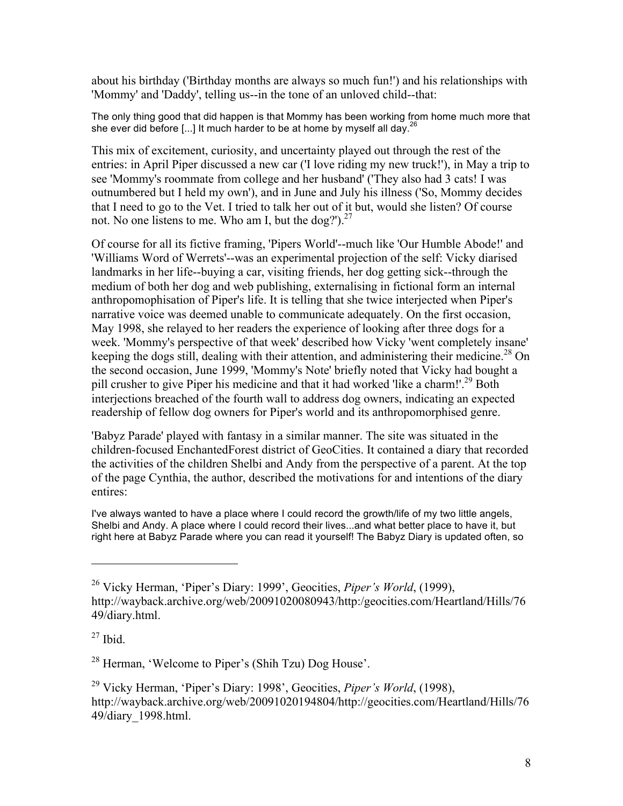about his birthday ('Birthday months are always so much fun!') and his relationships with 'Mommy' and 'Daddy', telling us--in the tone of an unloved child--that:

The only thing good that did happen is that Mommy has been working from home much more that she ever did before [...] It much harder to be at home by myself all day.<sup>26</sup>

This mix of excitement, curiosity, and uncertainty played out through the rest of the entries: in April Piper discussed a new car ('I love riding my new truck!'), in May a trip to see 'Mommy's roommate from college and her husband' ('They also had 3 cats! I was outnumbered but I held my own'), and in June and July his illness ('So, Mommy decides that I need to go to the Vet. I tried to talk her out of it but, would she listen? Of course not. No one listens to me. Who am I, but the dog?'). $27$ 

Of course for all its fictive framing, 'Pipers World'--much like 'Our Humble Abode!' and 'Williams Word of Werrets'--was an experimental projection of the self: Vicky diarised landmarks in her life--buying a car, visiting friends, her dog getting sick--through the medium of both her dog and web publishing, externalising in fictional form an internal anthropomophisation of Piper's life. It is telling that she twice interjected when Piper's narrative voice was deemed unable to communicate adequately. On the first occasion, May 1998, she relayed to her readers the experience of looking after three dogs for a week. 'Mommy's perspective of that week' described how Vicky 'went completely insane' keeping the dogs still, dealing with their attention, and administering their medicine.<sup>28</sup> On the second occasion, June 1999, 'Mommy's Note' briefly noted that Vicky had bought a pill crusher to give Piper his medicine and that it had worked 'like a charm!'.<sup>29</sup> Both interjections breached of the fourth wall to address dog owners, indicating an expected readership of fellow dog owners for Piper's world and its anthropomorphised genre.

'Babyz Parade' played with fantasy in a similar manner. The site was situated in the children-focused EnchantedForest district of GeoCities. It contained a diary that recorded the activities of the children Shelbi and Andy from the perspective of a parent. At the top of the page Cynthia, the author, described the motivations for and intentions of the diary entires:

I've always wanted to have a place where I could record the growth/life of my two little angels. Shelbi and Andy. A place where I could record their lives...and what better place to have it, but right here at Babyz Parade where you can read it yourself! The Babyz Diary is updated often, so

 $\overline{a}$ 

<sup>28</sup> Herman, 'Welcome to Piper's (Shih Tzu) Dog House'.

<sup>29</sup> Vicky Herman, 'Piper's Diary: 1998', Geocities, *Piper's World*, (1998), http://wayback.archive.org/web/20091020194804/http://geocities.com/Heartland/Hills/76 49/diary\_1998.html.

<sup>26</sup> Vicky Herman, 'Piper's Diary: 1999', Geocities, *Piper's World*, (1999), http://wayback.archive.org/web/20091020080943/http:/geocities.com/Heartland/Hills/76 49/diary.html.

 $27$  Ibid.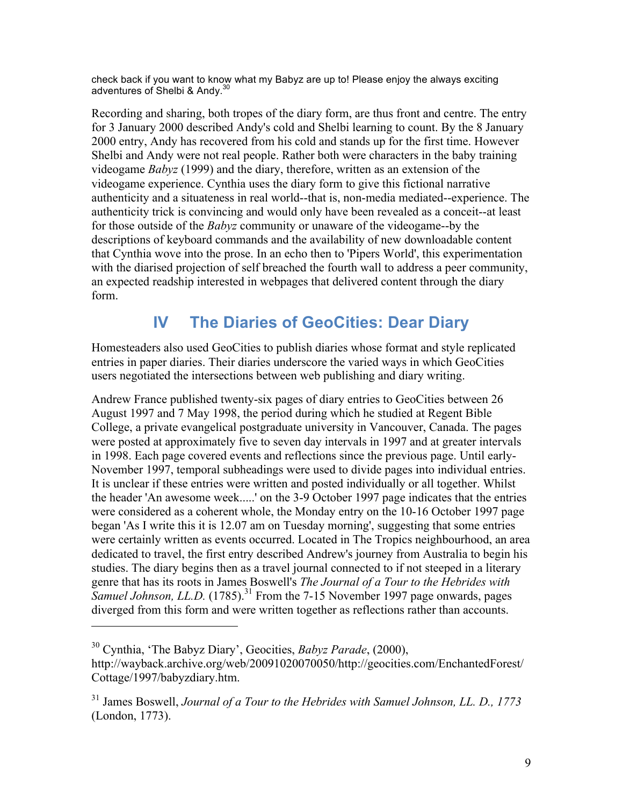check back if you want to know what my Babyz are up to! Please enjoy the always exciting adventures of Shelbi & Andy.<sup>30</sup>

Recording and sharing, both tropes of the diary form, are thus front and centre. The entry for 3 January 2000 described Andy's cold and Shelbi learning to count. By the 8 January 2000 entry, Andy has recovered from his cold and stands up for the first time. However Shelbi and Andy were not real people. Rather both were characters in the baby training videogame *Babyz* (1999) and the diary, therefore, written as an extension of the videogame experience. Cynthia uses the diary form to give this fictional narrative authenticity and a situateness in real world--that is, non-media mediated--experience. The authenticity trick is convincing and would only have been revealed as a conceit--at least for those outside of the *Babyz* community or unaware of the videogame--by the descriptions of keyboard commands and the availability of new downloadable content that Cynthia wove into the prose. In an echo then to 'Pipers World', this experimentation with the diarised projection of self breached the fourth wall to address a peer community, an expected readship interested in webpages that delivered content through the diary form.

# **IV The Diaries of GeoCities: Dear Diary**

Homesteaders also used GeoCities to publish diaries whose format and style replicated entries in paper diaries. Their diaries underscore the varied ways in which GeoCities users negotiated the intersections between web publishing and diary writing.

Andrew France published twenty-six pages of diary entries to GeoCities between 26 August 1997 and 7 May 1998, the period during which he studied at Regent Bible College, a private evangelical postgraduate university in Vancouver, Canada. The pages were posted at approximately five to seven day intervals in 1997 and at greater intervals in 1998. Each page covered events and reflections since the previous page. Until early-November 1997, temporal subheadings were used to divide pages into individual entries. It is unclear if these entries were written and posted individually or all together. Whilst the header 'An awesome week.....' on the 3-9 October 1997 page indicates that the entries were considered as a coherent whole, the Monday entry on the 10-16 October 1997 page began 'As I write this it is 12.07 am on Tuesday morning', suggesting that some entries were certainly written as events occurred. Located in The Tropics neighbourhood, an area dedicated to travel, the first entry described Andrew's journey from Australia to begin his studies. The diary begins then as a travel journal connected to if not steeped in a literary genre that has its roots in James Boswell's *The Journal of a Tour to the Hebrides with Samuel Johnson, LL.D.* (1785).<sup>31</sup> From the 7-15 November 1997 page onwards, pages diverged from this form and were written together as reflections rather than accounts.

<sup>30</sup> Cynthia, 'The Babyz Diary', Geocities, *Babyz Parade*, (2000),

http://wayback.archive.org/web/20091020070050/http://geocities.com/EnchantedForest/ Cottage/1997/babyzdiary.htm.

<sup>31</sup> James Boswell, *Journal of a Tour to the Hebrides with Samuel Johnson, LL. D., 1773* (London, 1773).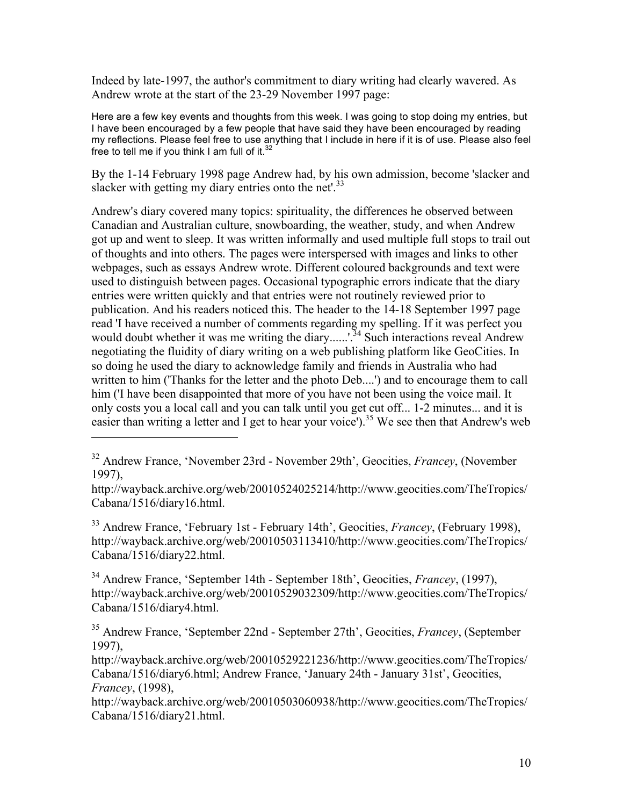Indeed by late-1997, the author's commitment to diary writing had clearly wavered. As Andrew wrote at the start of the 23-29 November 1997 page:

Here are a few key events and thoughts from this week. I was going to stop doing my entries, but I have been encouraged by a few people that have said they have been encouraged by reading my reflections. Please feel free to use anything that I include in here if it is of use. Please also feel free to tell me if you think I am full of it. $3$ 

By the 1-14 February 1998 page Andrew had, by his own admission, become 'slacker and slacker with getting my diary entries onto the net'.<sup>33</sup>

Andrew's diary covered many topics: spirituality, the differences he observed between Canadian and Australian culture, snowboarding, the weather, study, and when Andrew got up and went to sleep. It was written informally and used multiple full stops to trail out of thoughts and into others. The pages were interspersed with images and links to other webpages, such as essays Andrew wrote. Different coloured backgrounds and text were used to distinguish between pages. Occasional typographic errors indicate that the diary entries were written quickly and that entries were not routinely reviewed prior to publication. And his readers noticed this. The header to the 14-18 September 1997 page read 'I have received a number of comments regarding my spelling. If it was perfect you would doubt whether it was me writing the diary......'.<sup>34</sup> Such interactions reveal Andrew negotiating the fluidity of diary writing on a web publishing platform like GeoCities. In so doing he used the diary to acknowledge family and friends in Australia who had written to him ('Thanks for the letter and the photo Deb....') and to encourage them to call him ('I have been disappointed that more of you have not been using the voice mail. It only costs you a local call and you can talk until you get cut off... 1-2 minutes... and it is easier than writing a letter and I get to hear your voice').<sup>35</sup> We see then that Andrew's web

 $\overline{a}$ 

<sup>33</sup> Andrew France, 'February 1st - February 14th', Geocities, *Francey*, (February 1998), http://wayback.archive.org/web/20010503113410/http://www.geocities.com/TheTropics/ Cabana/1516/diary22.html.

<sup>34</sup> Andrew France, 'September 14th - September 18th', Geocities, *Francey*, (1997), http://wayback.archive.org/web/20010529032309/http://www.geocities.com/TheTropics/ Cabana/1516/diary4.html.

<sup>35</sup> Andrew France, 'September 22nd - September 27th', Geocities, *Francey*, (September 1997),

http://wayback.archive.org/web/20010529221236/http://www.geocities.com/TheTropics/ Cabana/1516/diary6.html; Andrew France, 'January 24th - January 31st', Geocities, *Francey*, (1998),

http://wayback.archive.org/web/20010503060938/http://www.geocities.com/TheTropics/ Cabana/1516/diary21.html.

<sup>32</sup> Andrew France, 'November 23rd - November 29th', Geocities, *Francey*, (November 1997),

http://wayback.archive.org/web/20010524025214/http://www.geocities.com/TheTropics/ Cabana/1516/diary16.html.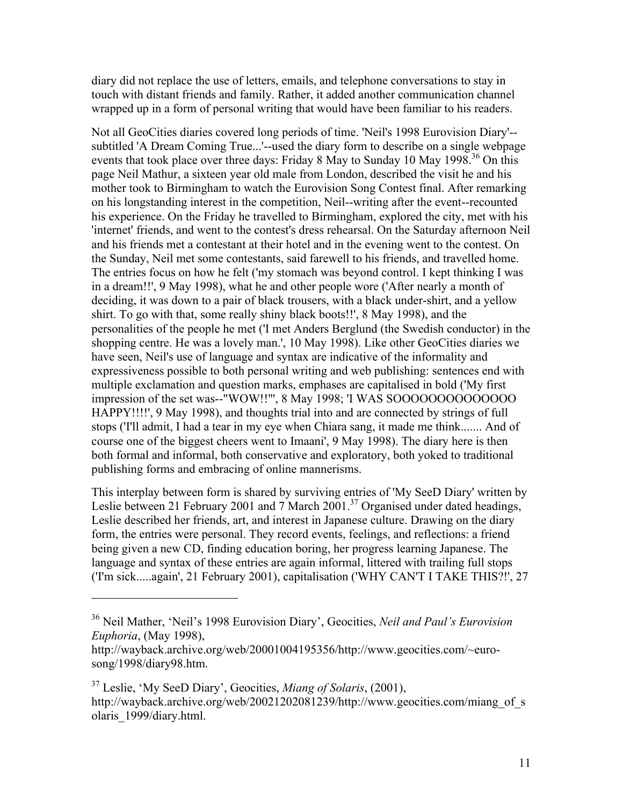diary did not replace the use of letters, emails, and telephone conversations to stay in touch with distant friends and family. Rather, it added another communication channel wrapped up in a form of personal writing that would have been familiar to his readers.

Not all GeoCities diaries covered long periods of time. 'Neil's 1998 Eurovision Diary'- subtitled 'A Dream Coming True...'--used the diary form to describe on a single webpage events that took place over three days: Friday 8 May to Sunday 10 May 1998.<sup>36</sup> On this page Neil Mathur, a sixteen year old male from London, described the visit he and his mother took to Birmingham to watch the Eurovision Song Contest final. After remarking on his longstanding interest in the competition, Neil--writing after the event--recounted his experience. On the Friday he travelled to Birmingham, explored the city, met with his 'internet' friends, and went to the contest's dress rehearsal. On the Saturday afternoon Neil and his friends met a contestant at their hotel and in the evening went to the contest. On the Sunday, Neil met some contestants, said farewell to his friends, and travelled home. The entries focus on how he felt ('my stomach was beyond control. I kept thinking I was in a dream!!', 9 May 1998), what he and other people wore ('After nearly a month of deciding, it was down to a pair of black trousers, with a black under-shirt, and a yellow shirt. To go with that, some really shiny black boots!!', 8 May 1998), and the personalities of the people he met ('I met Anders Berglund (the Swedish conductor) in the shopping centre. He was a lovely man.', 10 May 1998). Like other GeoCities diaries we have seen, Neil's use of language and syntax are indicative of the informality and expressiveness possible to both personal writing and web publishing: sentences end with multiple exclamation and question marks, emphases are capitalised in bold ('My first impression of the set was--"WOW!!"', 8 May 1998; 'I WAS SOOOOOOOOOOOOOO HAPPY!!!!', 9 May 1998), and thoughts trial into and are connected by strings of full stops ('I'll admit, I had a tear in my eye when Chiara sang, it made me think....... And of course one of the biggest cheers went to Imaani', 9 May 1998). The diary here is then both formal and informal, both conservative and exploratory, both yoked to traditional publishing forms and embracing of online mannerisms.

This interplay between form is shared by surviving entries of 'My SeeD Diary' written by Leslie between 21 February 2001 and 7 March 2001.<sup>37</sup> Organised under dated headings, Leslie described her friends, art, and interest in Japanese culture. Drawing on the diary form, the entries were personal. They record events, feelings, and reflections: a friend being given a new CD, finding education boring, her progress learning Japanese. The language and syntax of these entries are again informal, littered with trailing full stops ('I'm sick.....again', 21 February 2001), capitalisation ('WHY CAN'T I TAKE THIS?!', 27

<sup>36</sup> Neil Mather, 'Neil's 1998 Eurovision Diary', Geocities, *Neil and Paul's Eurovision Euphoria*, (May 1998),

http://wayback.archive.org/web/20001004195356/http://www.geocities.com/~eurosong/1998/diary98.htm.

<sup>37</sup> Leslie, 'My SeeD Diary', Geocities, *Miang of Solaris*, (2001), http://wayback.archive.org/web/20021202081239/http://www.geocities.com/miang\_of\_s olaris\_1999/diary.html.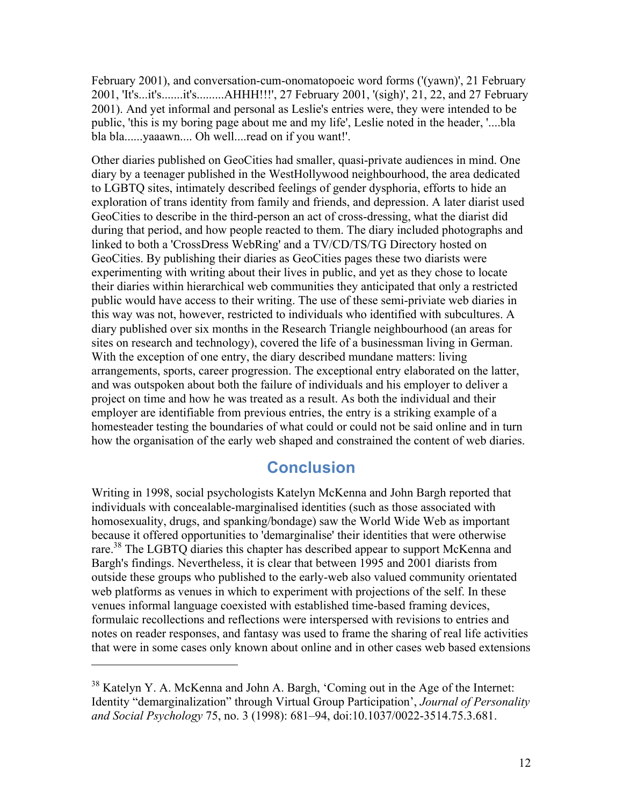February 2001), and conversation-cum-onomatopoeic word forms ('(yawn)', 21 February 2001, 'It's...it's.......it's.........AHHH!!!', 27 February 2001, '(sigh)', 21, 22, and 27 February 2001). And yet informal and personal as Leslie's entries were, they were intended to be public, 'this is my boring page about me and my life', Leslie noted in the header, '....bla bla bla......yaaawn.... Oh well....read on if you want!'.

Other diaries published on GeoCities had smaller, quasi-private audiences in mind. One diary by a teenager published in the WestHollywood neighbourhood, the area dedicated to LGBTQ sites, intimately described feelings of gender dysphoria, efforts to hide an exploration of trans identity from family and friends, and depression. A later diarist used GeoCities to describe in the third-person an act of cross-dressing, what the diarist did during that period, and how people reacted to them. The diary included photographs and linked to both a 'CrossDress WebRing' and a TV/CD/TS/TG Directory hosted on GeoCities. By publishing their diaries as GeoCities pages these two diarists were experimenting with writing about their lives in public, and yet as they chose to locate their diaries within hierarchical web communities they anticipated that only a restricted public would have access to their writing. The use of these semi-priviate web diaries in this way was not, however, restricted to individuals who identified with subcultures. A diary published over six months in the Research Triangle neighbourhood (an areas for sites on research and technology), covered the life of a businessman living in German. With the exception of one entry, the diary described mundane matters: living arrangements, sports, career progression. The exceptional entry elaborated on the latter, and was outspoken about both the failure of individuals and his employer to deliver a project on time and how he was treated as a result. As both the individual and their employer are identifiable from previous entries, the entry is a striking example of a homesteader testing the boundaries of what could or could not be said online and in turn how the organisation of the early web shaped and constrained the content of web diaries.

#### **Conclusion**

Writing in 1998, social psychologists Katelyn McKenna and John Bargh reported that individuals with concealable-marginalised identities (such as those associated with homosexuality, drugs, and spanking/bondage) saw the World Wide Web as important because it offered opportunities to 'demarginalise' their identities that were otherwise rare.<sup>38</sup> The LGBTQ diaries this chapter has described appear to support McKenna and Bargh's findings. Nevertheless, it is clear that between 1995 and 2001 diarists from outside these groups who published to the early-web also valued community orientated web platforms as venues in which to experiment with projections of the self. In these venues informal language coexisted with established time-based framing devices, formulaic recollections and reflections were interspersed with revisions to entries and notes on reader responses, and fantasy was used to frame the sharing of real life activities that were in some cases only known about online and in other cases web based extensions

<sup>&</sup>lt;sup>38</sup> Katelyn Y. A. McKenna and John A. Bargh, 'Coming out in the Age of the Internet: Identity "demarginalization" through Virtual Group Participation', *Journal of Personality and Social Psychology* 75, no. 3 (1998): 681–94, doi:10.1037/0022-3514.75.3.681.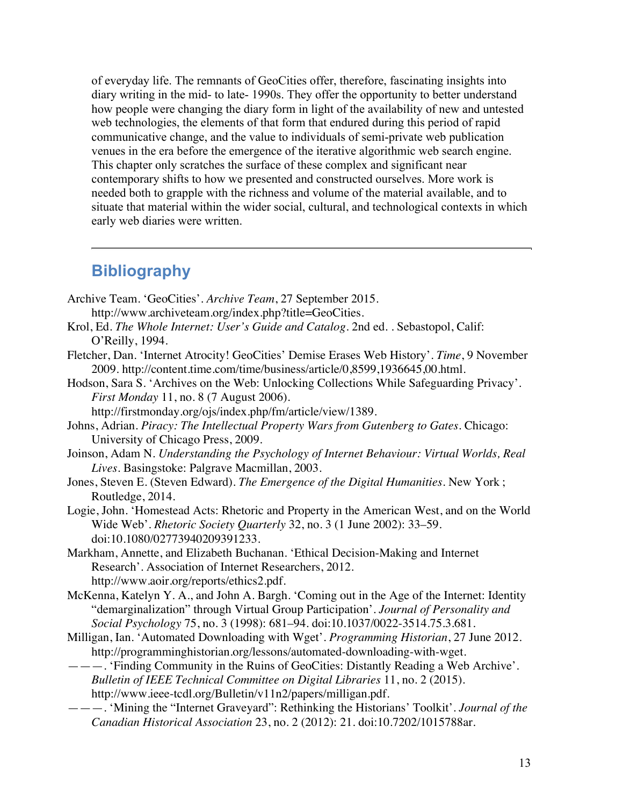of everyday life. The remnants of GeoCities offer, therefore, fascinating insights into diary writing in the mid- to late- 1990s. They offer the opportunity to better understand how people were changing the diary form in light of the availability of new and untested web technologies, the elements of that form that endured during this period of rapid communicative change, and the value to individuals of semi-private web publication venues in the era before the emergence of the iterative algorithmic web search engine. This chapter only scratches the surface of these complex and significant near contemporary shifts to how we presented and constructed ourselves. More work is needed both to grapple with the richness and volume of the material available, and to situate that material within the wider social, cultural, and technological contexts in which early web diaries were written.

## **Bibliography**

- Archive Team. 'GeoCities'. *Archive Team*, 27 September 2015.
	- http://www.archiveteam.org/index.php?title=GeoCities.
- Krol, Ed. *The Whole Internet: User's Guide and Catalog*. 2nd ed. . Sebastopol, Calif: O'Reilly, 1994.
- Fletcher, Dan. 'Internet Atrocity! GeoCities' Demise Erases Web History'. *Time*, 9 November 2009. http://content.time.com/time/business/article/0,8599,1936645,00.html.
- Hodson, Sara S. 'Archives on the Web: Unlocking Collections While Safeguarding Privacy'. *First Monday* 11, no. 8 (7 August 2006).

http://firstmonday.org/ojs/index.php/fm/article/view/1389.

- Johns, Adrian. *Piracy: The Intellectual Property Wars from Gutenberg to Gates*. Chicago: University of Chicago Press, 2009.
- Joinson, Adam N. *Understanding the Psychology of Internet Behaviour: Virtual Worlds, Real Lives*. Basingstoke: Palgrave Macmillan, 2003.
- Jones, Steven E. (Steven Edward). *The Emergence of the Digital Humanities*. New York ; Routledge, 2014.
- Logie, John. 'Homestead Acts: Rhetoric and Property in the American West, and on the World Wide Web'. *Rhetoric Society Quarterly* 32, no. 3 (1 June 2002): 33–59. doi:10.1080/02773940209391233.
- Markham, Annette, and Elizabeth Buchanan. 'Ethical Decision-Making and Internet Research'. Association of Internet Researchers, 2012. http://www.aoir.org/reports/ethics2.pdf.
- McKenna, Katelyn Y. A., and John A. Bargh. 'Coming out in the Age of the Internet: Identity "demarginalization" through Virtual Group Participation'. *Journal of Personality and Social Psychology* 75, no. 3 (1998): 681–94. doi:10.1037/0022-3514.75.3.681.
- Milligan, Ian. 'Automated Downloading with Wget'. *Programming Historian*, 27 June 2012. http://programminghistorian.org/lessons/automated-downloading-with-wget.
- ———. 'Finding Community in the Ruins of GeoCities: Distantly Reading a Web Archive'. *Bulletin of IEEE Technical Committee on Digital Libraries* 11, no. 2 (2015). http://www.ieee-tcdl.org/Bulletin/v11n2/papers/milligan.pdf.
- ———. 'Mining the "Internet Graveyard": Rethinking the Historians' Toolkit'. *Journal of the Canadian Historical Association* 23, no. 2 (2012): 21. doi:10.7202/1015788ar.